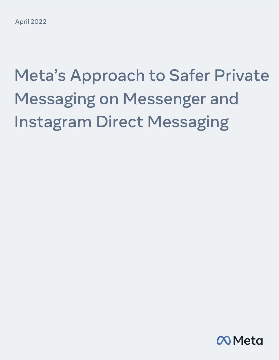# Meta's Approach to Safer Private Messaging on Messenger and Instagram Direct Messaging

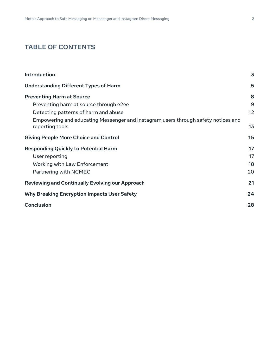### **TABLE OF CONTENTS**

| Introduction                                                                                         | $\overline{\mathbf{3}}$ |
|------------------------------------------------------------------------------------------------------|-------------------------|
| <b>Understanding Different Types of Harm</b>                                                         | 5                       |
| <b>Preventing Harm at Source</b>                                                                     | 8                       |
| Preventing harm at source through e2ee                                                               | 9                       |
| Detecting patterns of harm and abuse                                                                 | 12                      |
| Empowering and educating Messenger and Instagram users through safety notices and<br>reporting tools | 13                      |
| <b>Giving People More Choice and Control</b>                                                         | 15                      |
| <b>Responding Quickly to Potential Harm</b>                                                          | 17                      |
| User reporting                                                                                       | 17                      |
| Working with Law Enforcement                                                                         | 18                      |
| Partnering with NCMEC                                                                                | 20                      |
| <b>Reviewing and Continually Evolving our Approach</b>                                               | 21                      |
| <b>Why Breaking Encryption Impacts User Safety</b>                                                   | 24                      |
| <b>Conclusion</b>                                                                                    | 28                      |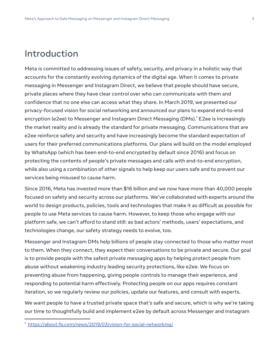### Introduction

Meta is committed to addressing issues of safety, security, and privacy in a holistic way that accounts for the constantly evolving dynamics of the digital age. When it comes to private messaging in Messenger and Instagram Direct, we believe that people should have secure, private places where they have clear control over who can communicate with them and confidence that no one else can access what they share. In March 2019, we presented our privacy-focused vision for social networking and announced our plans to expand end-to-end encryption (e2ee) to Messenger and Instagram Direct Messaging (DMs).<sup>1</sup> E2ee is increasingly the market reality and is already the standard for private messaging. Communications that are e2ee reinforce safety and security and have increasingly become the standard expectation of users for their preferred communications platforms. Our plans will build on the model employed by WhatsApp (which has been end-to-end encrypted by default since 2016) and focus on protecting the contents of people's private messages and calls with end-to-end encryption, while also using a combination of other signals to help keep our users safe and to prevent our services being misused to cause harm.

Since 2016, Meta has invested more than \$16 billion and we now have more than 40,000 people focused on safety and security across our platforms. We've collaborated with experts around the world to design products, policies, tools and technologies that make it as difficult as possible for people to use Meta services to cause harm. However, to keep those who engage with our platform safe, we can't afford to stand still: as bad actors' methods, users' expectations, and technologies change, our safety strategy needs to evolve, too.

Messenger and Instagram DMs help billions of people stay connected to those who matter most to them. When they connect, they expect their conversations to be private and secure. Our goal is to provide people with the safest private messaging apps by helping protect people from abuse without weakening industry leading security protections, like e2ee. We focus on preventing abuse from happening, giving people controls to manage their experience, and responding to potential harm effectively. Protecting people on our apps requires constant iteration, so we regularly review our policies, update our features, and consult with experts.

We want people to have a trusted private space that's safe and secure, which is why we're taking our time to thoughtfully build and implement e2ee by default across Messenger and Instagram

<sup>1</sup> https://about.fb.com/news/2019/03/vision-for-social-networking/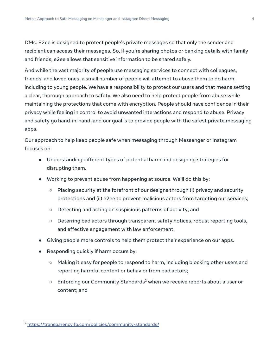DMs. E2ee is designed to protect people's private messages so that only the sender and recipient can access their messages. So, if you're sharing photos or banking details with family and friends, e2ee allows that sensitive information to be shared safely.

And while the vast majority of people use messaging services to connect with colleagues, friends, and loved ones, a small number of people will attempt to abuse them to do harm, including to young people. We have a responsibility to protect our users and that means setting a clear, thorough approach to safety. We also need to help protect people from abuse while maintaining the protections that come with encryption. People should have confidence in their privacy while feeling in control to avoid unwanted interactions and respond to abuse. Privacy and safety go hand-in-hand, and our goal is to provide people with the safest private messaging apps.

Our approach to help keep people safe when messaging through Messenger or Instagram focuses on:

- Understanding different types of potential harm and designing strategies for disrupting them.
- Working to prevent abuse from happening at source. We'll do this by:
	- $\circ$  Placing security at the forefront of our designs through (i) privacy and security protections and (ii) e2ee to prevent malicious actors from targeting our services;
	- Detecting and acting on suspicious patterns of activity; and
	- Deterring bad actors through transparent safety notices, robust reporting tools, and effective engagement with law enforcement.
- Giving people more controls to help them protect their experience on our apps.
- Responding quickly if harm occurs by:
	- Making it easy for people to respond to harm, including blocking other users and reporting harmful content or behavior from bad actors;
	- $\circ$  Enforcing our Community Standards<sup>2</sup> when we receive reports about a user or content; and

<sup>2</sup> https://transparency.fb.com/policies/community-standards/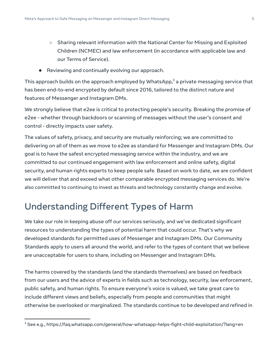- Sharing relevant information with the National Center for Missing and Exploited Children (NCMEC) and law enforcement (in accordance with applicable law and our Terms of Service).
- Reviewing and continually evolving our approach.

This approach builds on the approach employed by WhatsApp, $3$  a private messaging service that has been end-to-end encrypted by default since 2016, tailored to the distinct nature and features of Messenger and Instagram DMs.

We strongly believe that e2ee is critical to protecting people's security. Breaking the promise of e2ee - whether through backdoors or scanning of messages without the user's consent and control - directly impacts user safety.

The values of safety, privacy, and security are mutually reinforcing; we are committed to delivering on all of them as we move to e2ee as standard for Messenger and Instagram DMs. Our goal is to have the safest encrypted messaging service within the industry, and we are committed to our continued engagement with law enforcement and online safety, digital security, and human rights experts to keep people safe. Based on work to date, we are confident we will deliver that and exceed what other comparable encrypted messaging services do. We're also committed to continuing to invest as threats and technology constantly change and evolve.

# Understanding Different Types of Harm

We take our role in keeping abuse off our services seriously, and we've dedicated significant resources to understanding the types of potential harm that could occur. That's why we developed standards for permitted uses of Messenger and Instagram DMs. Our Community Standards apply to users all around the world, and refer to the types of content that we believe are unacceptable for users to share, including on Messenger and Instagram DMs.

The harms covered by the standards (and the standards themselves) are based on feedback from our users and the advice of experts in fields such as technology, security, law enforcement, public safety, and human rights. To ensure everyone's voice is valued, we take great care to include different views and beliefs, especially from people and communities that might otherwise be overlooked or marginalized. The standards continue to be developed and refined in

 $3$  See e.g., https://faq.whatsapp.com/general/how-whatsapp-helps-fight-child-exploitation/?lang=en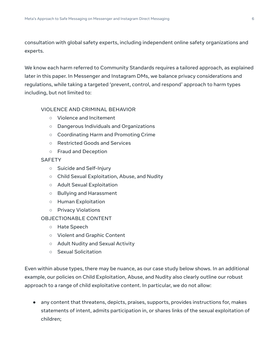consultation with global safety experts, including independent online safety organizations and experts.

We know each harm referred to Community Standards requires a tailored approach, as explained later in this paper. In Messenger and Instagram DMs, we balance privacy considerations and regulations, while taking a targeted 'prevent, control, and respond' approach to harm types including, but not limited to:

#### VIOLENCE AND CRIMINAL BEHAVIOR

- Violence and Incitement
- Dangerous Individuals and Organizations
- Coordinating Harm and Promoting Crime
- Restricted Goods and Services
- Fraud and Deception

#### **SAFETY**

- Suicide and Self-Injury
- Child Sexual Exploitation, Abuse, and Nudity
- Adult Sexual Exploitation
- Bullying and Harassment
- Human Exploitation
- Privacy Violations

#### OBJECTIONABLE CONTENT

- Hate Speech
- Violent and Graphic Content
- Adult Nudity and Sexual Activity
- Sexual Solicitation

Even within abuse types, there may be nuance, as our case study below shows. In an additional example, our policies on Child Exploitation, Abuse, and Nudity also clearly outline our robust approach to a range of child exploitative content. In particular, we do not allow:

● any content that threatens, depicts, praises, supports, provides instructions for, makes statements of intent, admits participation in, or shares links of the sexual exploitation of children;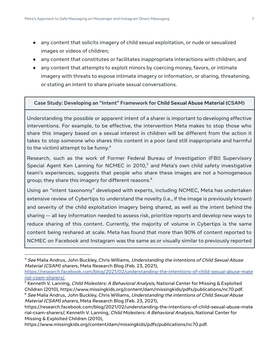- any content that solicits imagery of child sexual exploitation, or nude or sexualized images or videos of children;
- any content that constitutes or facilitates inappropriate interactions with children; and
- any content that attempts to exploit minors by coercing money, favors, or intimate imagery with threats to expose intimate imagery or information, or sharing, threatening, or stating an intent to share private sexual conversations.

#### **Case Study: Developing an "Intent" Framework for Child Sexual Abuse Material (CSAM)**

Understanding the possible or apparent intent of a sharer is important to developing effective interventions. For example, to be effective, the intervention Meta makes to stop those who share this imagery based on a sexual interest in children will be different from the action it takes to stop someone who shares this content in a poor (and still inappropriate and harmful to the victim) attempt to be funny. $4$ 

Research, such as the work of Former Federal Bureau of Investigation (FBI) Supervisory Special Agent Ken Lanning for NCMEC in  $2010<sub>5</sub>$  and Meta's own child safety investigative team's experiences, suggests that people who share these images are not a homogeneous group; they share this imagery for different reasons.<sup>6</sup>

Using an "intent taxonomy" developed with experts, including NCMEC, Meta has undertaken extensive review of Cybertips to understand the novelty (i.e., if the image is previously known) and severity of the child exploitation imagery being shared, as well as the intent behind the sharing -- all key information needed to assess risk, prioritize reports and develop new ways to reduce sharing of this content. Currently, the majority of volume in Cybertips is the same content being reshared at scale. Meta has found that more than 90% of content reported to NCMEC on Facebook and Instagram was the same as or visually similar to previously reported

<sup>&</sup>lt;sup>4</sup> See Malia Andrus, John Buckley, Chris Williams, Understanding the intentions of Child Sexual Abuse Material (CSAM) sharers, Meta Research Blog (Feb. 23, 2021),

https://research.facebook.com/blog/2021/02/understanding-the-intentions-of-child-sexual-abuse-mate rial-csam-sharers/.

 $5$  Kenneth V. Lanning, *Child Molesters: A Behavioral Analysis*, National Center for Missing & Exploited Children (2010), https://www.missingkids.org/content/dam/missingkids/pdfs/publications/nc70.pdf.

 $6$  See Malia Andrus, John Buckley, Chris Williams, Understanding the intentions of Child Sexual Abuse Material (CSAM) sharers, Meta Research Blog (Feb. 23, 2021),

https://research.facebook.com/blog/2021/02/understanding-the-intentions-of-child-sexual-abuse-mate rial-csam-sharers/; Kenneth V. Lanning, Child Molesters: A Behavioral Analysis, National Center for Missing & Exploited Children (2010),

https://www.missingkids.org/content/dam/missingkids/pdfs/publications/nc70.pdf.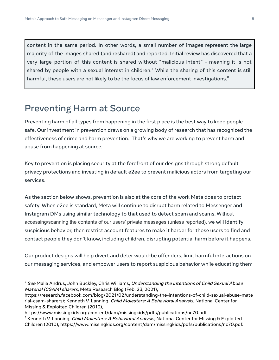content in the same period. In other words, a small number of images represent the large majority of the images shared (and reshared) and reported. Initial review has discovered that a very large portion of this content is shared without "malicious intent" - meaning it is not shared by people with a sexual interest in children.<sup>7</sup> While the sharing of this content is still harmful, these users are not likely to be the focus of law enforcement investigations.<sup>8</sup>

### Preventing Harm at Source

Preventing harm of all types from happening in the first place is the best way to keep people safe. Our investment in prevention draws on a growing body of research that has recognized the effectiveness of crime and harm prevention. That's why we are working to prevent harm and abuse from happening at source.

Key to prevention is placing security at the forefront of our designs through strong default privacy protections and investing in default e2ee to prevent malicious actors from targeting our services.

As the section below shows, prevention is also at the core of the work Meta does to protect safety. When e2ee is standard, Meta will continue to disrupt harm related to Messenger and Instagram DMs using similar technology to that used to detect spam and scams. Without accessing/scanning the contents of our users' private messages (unless reported), we will identify suspicious behavior, then restrict account features to make it harder for those users to find and contact people they don't know, including children, disrupting potential harm before it happens.

Our product designs will help divert and deter would-be offenders, limit harmful interactions on our messaging services, and empower users to report suspicious behavior while educating them

 $<sup>7</sup>$  See Malia Andrus, John Buckley, Chris Williams, Understanding the intentions of Child Sexual Abuse</sup> Material (CSAM) sharers, Meta Research Blog (Feb. 23, 2021),

https://research.facebook.com/blog/2021/02/understanding-the-intentions-of-child-sexual-abuse-mate rial-csam-sharers/; Kenneth V. Lanning, Child Molesters: A Behavioral Analysis, National Center for Missing & Exploited Children (2010),

https://www.missingkids.org/content/dam/missingkids/pdfs/publications/nc70.pdf.

<sup>&</sup>lt;sup>8</sup> Kenneth V. Lanning, *Child Molesters: A Behavioral Analysis*, National Center for Missing & Exploited Children (2010), https://www.missingkids.org/content/dam/missingkids/pdfs/publications/nc70.pdf.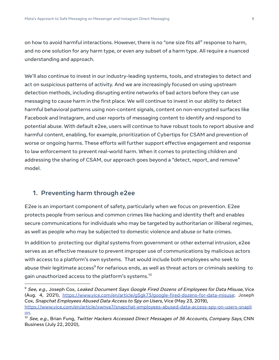on how to avoid harmful interactions. However, there is no "one size fits all" response to harm, and no one solution for any harm type, or even any subset of a harm type. All require a nuanced understanding and approach.

We'll also continue to invest in our industry-leading systems, tools, and strategies to detect and act on suspicious patterns of activity. And we are increasingly focused on using upstream detection methods, including disrupting entire networks of bad actors before they can use messaging to cause harm in the first place. We will continue to invest in our ability to detect harmful behavioral patterns using non-content signals, content on non-encrypted surfaces like Facebook and Instagram, and user reports of messaging content to identify and respond to potential abuse. With default e2ee, users will continue to have robust tools to report abusive and harmful content, enabling, for example, prioritization of Cybertips for CSAM and prevention of worse or ongoing harms. These efforts will further support effective engagement and response to law enforcement to prevent real-world harm. When it comes to protecting children and addressing the sharing of CSAM, our approach goes beyond a "detect, report, and remove" model.

### **1. Preventing harm through e2ee**

E2ee is an important component of safety, particularly when we focus on prevention. E2ee protects people from serious and common crimes like hacking and identity theft and enables secure communications for individuals who may be targeted by authoritarian or illiberal regimes, as well as people who may be subjected to domestic violence and abuse or hate crimes.

In addition to protecting our digital systems from government or other external intrusion, e2ee serves as an effective measure to prevent improper use of communications by malicious actors with access to a platform's own systems. That would include both employees who seek to abuse their legitimate access $^{\circ}$  for nefarious ends, as well as threat actors or criminals seeking  $\,$  to gain unauthorized access to the platform's systems.<sup>10</sup>

 $^9$  See, e.g., Joseph Cox, Leaked Document Says Google Fired Dozens of Employees for Data Misuse, Vice (Aug. 4, 2021), https://www.vice.com/en/article/g5gk73/google-fired-dozens-for-data-misuse; Joseph Cox, Snapchat Employees Abused Data Access to Spy on Users, Vice (May 23, 2019),

https://www.vice.com/en/article/xwnva7/snapchat-employees-abused-data-access-spy-on-users-snapli on.

<sup>&</sup>lt;sup>10</sup> See, e.g., Brian Fung, Twitter Hackers Accessed Direct Messages of 36 Accounts, Company Says, CNN Business (July 22, 2020),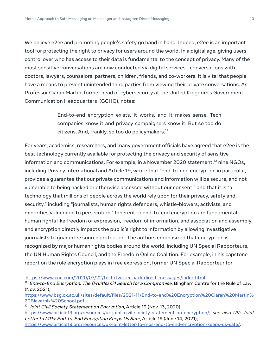We believe e2ee and promoting people's safety go hand in hand. Indeed, e2ee is an important tool for protecting the right to privacy for users around the world. In a digital age, giving users control over who has access to their data is fundamental to the concept of privacy. Many of the most sensitive conversations are now conducted via digital services - conversations with doctors, lawyers, counselors, partners, children, friends, and co-workers. It is vital that people have a means to prevent unintended third parties from viewing their private conversations. As Professor Ciaran Martin, former head of cybersecurity at the United Kingdom's Government Communication Headquarters (GCHQ), notes:

> End-to-end encryption exists, it works, and it makes sense. Tech companies know it and privacy campaigners know it. But so too do citizens. And, frankly, so too do policymakers.<sup>11</sup>

For years, academics, researchers, and many government officials have agreed that e2ee is the best technology currently available for protecting the privacy and security of sensitive information and communications. For example, in a November 2020 statement, $^{12}$  nine NGOs, including Privacy International and Article 19, wrote that "end-to-end encryption in particular, provides a guarantee that our private communications and information will be secure, and not vulnerable to being hacked or otherwise accessed without our consent," and that it is "a technology that millions of people across the world rely upon for their privacy, safety and security," including "journalists, human rights defenders, whistle-blowers, activists, and minorities vulnerable to persecution." Inherent to end-to-end encryption are fundamental human rights like freedom of expression, freedom of information, and association and assembly, and encryption directly impacts the public's right to information by allowing investigative journalists to guarantee source protection. The authors emphasized that encryption is recognized by major human rights bodies around the world, including UN Special Rapporteurs, the UN Human Rights Council, and the Freedom Online Coalition. For example, in his capstone report on the role encryption plays in free expression, former UN Special Rapporteur for

https://www.cnn.com/2020/07/22/tech/twitter-hack-direct-messages/index.html.

<sup>&</sup>lt;sup>11</sup> End-to-End Encryption: The (Fruitless?) Search for a Compromise, Bingham Centre for the Rule of Law (Nov. 2021),

https://www.bsg.ox.ac.uk/sites/default/files/2021-11/End-to-end%20Encryption%20Ciaran%20Martin% 20Blavatnik%20School.pdf.

 $12$  Joint Civil Society Statement on Encryption, Article 19 (Nov. 13, 2020),

https://www.article19.org/resources/uk-joint-civil-society-statement-on-encryption/; see also UK: Joint Letter to MPs: End-to-End Encryption Keeps Us Safe, Article 19 (June 14, 2021),

https://www.article19.org/resources/uk-joint-letter-to-mps-end-to-end-encryption-keeps-us-safe/.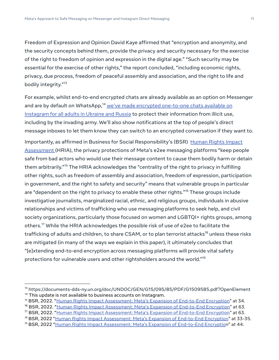Freedom of Expression and Opinion David Kaye affirmed that "encryption and anonymity, and the security concepts behind them, provide the privacy and security necessary for the exercise of the right to freedom of opinion and expression in the digital age." "Such security may be essential for the exercise of other rights," the report concluded, "including economic rights, privacy, due process, freedom of peaceful assembly and association, and the right to life and bodily integrity."<sup>13</sup>

For example, whilst end-to-end encrypted chats are already available as an option on Messenger and are by default on WhatsApp,<sup>14</sup> we've made encrypted one-to-one chats available on Instagram for all adults in Ukraine and Russia to protect their information from illicit use, including by the invading army. We'll also show notifications at the top of people's direct message inboxes to let them know they can switch to an encrypted conversation if they want to.

Importantly, as affirmed in Business for Social Responsibility's (BSR) Human Rights Impact Assessment (HRIA), the privacy protections of Meta's e2ee messaging platforms "keep people safe from bad actors who would use their message content to cause them bodily harm or detain them arbitrarily."<sup>15</sup> The HRIA acknowledges the "centrality of the right to privacy in fulfilling other rights, such as freedom of assembly and association, freedom of expression, participation in government, and the right to safety and security" means that vulnerable groups in particular are "dependent on the right to privacy to enable these other rights."<sup>16</sup> These groups include investigative journalists, marginalized racial, ethnic, and religious groups, individuals in abusive relationships and victims of trafficking who use messaging platforms to seek help, and civil society organizations, particularly those focused on women and LGBTQI+ rights groups, among others.<sup>17</sup> While the HRIA acknowledges the possible risk of use of e2ee to facilitate the trafficking of adults and children, to share CSAM, or to plan terrorist attacks<sup>18</sup> unless these risks are mitigated (in many of the ways we explain in this paper), it ultimately concludes that "[e]xtending end-to-end encryption across messaging platforms will provide vital safety protections for vulnerable users and other rightsholders around the world."<sup>19</sup>

 $14$  This update is not available to business accounts on Instagram. <sup>13</sup> https://documents-dds-ny.un.org/doc/UNDOC/GEN/G15/095/85/PDF/G1509585.pdf?OpenElement

<sup>&</sup>lt;sup>15</sup> BSR, 2022. "Human Rights Impact Assessment: Meta's Expansion of End-to-End Encryption" at 34.

<sup>&</sup>lt;sup>16</sup> BSR, 2022. "Human Rights Impact Assessment: Meta's Expansion of End-to-End Encryption" at 63.

<sup>&</sup>lt;sup>17</sup> BSR, 2022. "Human Rights Impact Assessment: Meta's Expansion of End-to-End Encryption" at 63.

<sup>&</sup>lt;sup>18</sup> BSR, 2022 "Human Rights Impact Assessment: Meta's Expansion of End-to-End Encryption" at 33-35.

<sup>&</sup>lt;sup>19</sup> BSR, 2022 "Human Rights Impact Assessment: Meta's Expansion of End-to-End Encryption" at 44.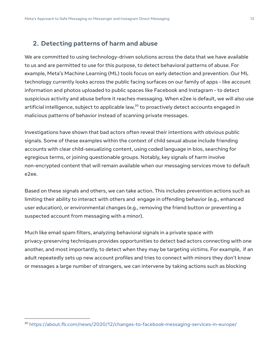### **2. Detecting patterns of harm and abuse**

We are committed to using technology-driven solutions across the data that we have available to us and are permitted to use for this purpose, to detect behavioral patterns of abuse. For example, Meta's Machine Learning (ML) tools focus on early detection and prevention. Our ML technology currently looks across the public facing surfaces on our family of apps - like account information and photos uploaded to public spaces like Facebook and Instagram - to detect suspicious activity and abuse before it reaches messaging. When e2ee is default, we will also use artificial intelligence, subject to applicable law, $^{20}$  to proactively detect accounts engaged in malicious patterns of behavior instead of scanning private messages.

Investigations have shown that bad actors often reveal their intentions with obvious public signals. Some of these examples within the context of child sexual abuse include friending accounts with clear child-sexualizing content, using coded language in bios, searching for egregious terms, or joining questionable groups. Notably, key signals of harm involve non-encrypted content that will remain available when our messaging services move to default e2ee.

Based on these signals and others, we can take action. This includes prevention actions such as limiting their ability to interact with others and engage in offending behavior (e.g., enhanced user education), or environmental changes (e.g., removing the friend button or preventing a suspected account from messaging with a minor).

Much like email spam filters, analyzing behavioral signals in a private space with privacy-preserving techniques provides opportunities to detect bad actors connecting with one another, and most importantly, to detect when they may be targeting victims. For example, if an adult repeatedly sets up new account profiles and tries to connect with minors they don't know or messages a large number of strangers, we can intervene by taking actions such as blocking

<sup>&</sup>lt;sup>20</sup> https://about.fb.com/news/2020/12/changes-to-facebook-messaging-services-in-europe/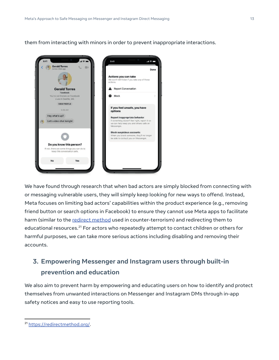them from interacting with minors in order to prevent inappropriate interactions.



We have found through research that when bad actors are simply blocked from connecting with or messaging vulnerable users, they will simply keep looking for new ways to offend. Instead, Meta focuses on limiting bad actors' capabilities within the product experience (e.g., removing friend button or search options in Facebook) to ensure they cannot use Meta apps to facilitate harm (similar to the redirect method used in counter-terrorism) and redirecting them to educational resources.<sup>21</sup> For actors who repeatedly attempt to contact children or others for harmful purposes, we can take more serious actions including disabling and removing their accounts.

### **3. Empowering Messenger and Instagram users through built-in prevention and education**

We also aim to prevent harm by empowering and educating users on how to identify and protect themselves from unwanted interactions on Messenger and Instagram DMs through in-app safety notices and easy to use reporting tools.

<sup>21</sup> https://redirectmethod.org/.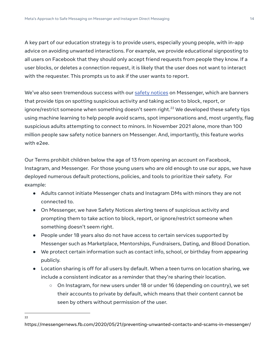A key part of our education strategy is to provide users, especially young people, with in-app advice on avoiding unwanted interactions. For example, we provide educational signposting to all users on Facebook that they should only accept friend requests from people they know. If a user blocks, or deletes a connection request, it is likely that the user does not want to interact with the requester. This prompts us to ask if the user wants to report.

We've also seen tremendous success with our safety notices on Messenger, which are banners that provide tips on spotting suspicious activity and taking action to block, report, or ignore/restrict someone when something doesn't seem right.<sup>22</sup> We developed these safety tips using machine learning to help people avoid scams, spot impersonations and, most urgently, flag suspicious adults attempting to connect to minors. In November 2021 alone, more than 100 million people saw safety notice banners on Messenger. And, importantly, this feature works with e2ee.

Our Terms prohibit children below the age of 13 from opening an account on Facebook, Instagram, and Messenger. For those young users who are old enough to use our apps, we have deployed numerous default protections, policies, and tools to prioritize their safety. For example:

- Adults cannot initiate Messenger chats and Instagram DMs with minors they are not connected to.
- On Messenger, we have Safety Notices alerting teens of suspicious activity and prompting them to take action to block, report, or ignore/restrict someone when something doesn't seem right.
- People under 18 years also do not have access to certain services supported by Messenger such as Marketplace, Mentorships, Fundraisers, Dating, and Blood Donation.
- We protect certain information such as contact info, school, or birthday from appearing publicly.
- Location sharing is off for all users by default. When a teen turns on location sharing, we include a consistent indicator as a reminder that they're sharing their location.
	- On Instagram, for new users under 18 or under 16 (depending on country), we set their accounts to private by default, which means that their content cannot be seen by others without permission of the user.

22

https://messengernews.fb.com/2020/05/21/preventing-unwanted-contacts-and-scams-in-messenger/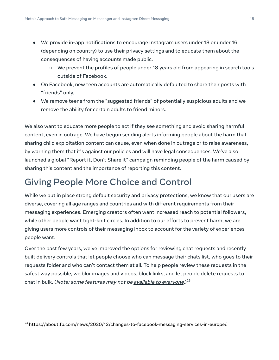- We provide in-app notifications to encourage Instagram users under 18 or under 16 (depending on country) to use their privacy settings and to educate them about the consequences of having accounts made public.
	- We prevent the profiles of people under 18 years old from appearing in search tools outside of Facebook.
- On Facebook, new teen accounts are automatically defaulted to share their posts with "friends" only.
- We remove teens from the "suggested friends" of potentially suspicious adults and we remove the ability for certain adults to friend minors.

We also want to educate more people to act if they see something and avoid sharing harmful content, even in outrage. We have begun sending alerts informing people about the harm that sharing child exploitation content can cause, even when done in outrage or to raise awareness, by warning them that it's against our policies and will have legal consequences. We've also launched a global "Report it, Don't Share it" campaign reminding people of the harm caused by sharing this content and the importance of reporting this content.

# Giving People More Choice and Control

While we put in place strong default security and privacy protections, we know that our users are diverse, covering all age ranges and countries and with different requirements from their messaging experiences. Emerging creators often want increased reach to potential followers, while other people want tight-knit circles. In addition to our efforts to prevent harm, we are giving users more controls of their messaging inbox to account for the variety of experiences people want.

Over the past few years, we've improved the options for reviewing chat requests and recently built delivery controls that let people choose who can message their chats list, who goes to their requests folder and who can't contact them at all. To help people review these requests in the safest way possible, we blur images and videos, block links, and let people delete requests to chat in bulk. (*Note: some features may not be <u>available to everyone</u>.)<sup>23</sup>* 

<sup>&</sup>lt;sup>23</sup> https://about.fb.com/news/2020/12/changes-to-facebook-messaging-services-in-europe/.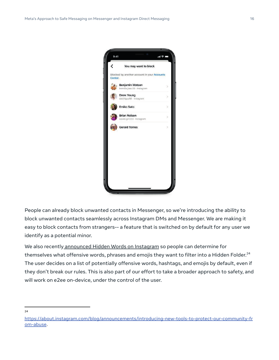

People can already block unwanted contacts in Messenger, so we're introducing the ability to block unwanted contacts seamlessly across Instagram DMs and Messenger. We are making it easy to block contacts from strangers-- a feature that is switched on by default for any user we identify as a potential minor.

We also recently announced Hidden Words on Instagram so people can determine for themselves what offensive words, phrases and emojis they want to filter into a Hidden Folder. $^{24}$ The user decides on a list of potentially offensive words, hashtags, and emojis by default, even if they don't break our rules. This is also part of our effort to take a broader approach to safety, and will work on e2ee on-device, under the control of the user.

24

https://about.instagram.com/blog/announcements/introducing-new-tools-to-protect-our-community-fr om-abuse.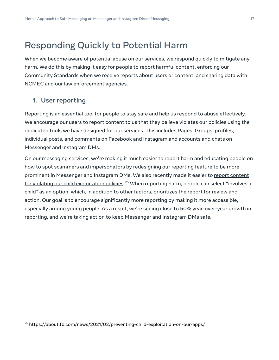## Responding Quickly to Potential Harm

When we become aware of potential abuse on our services, we respond quickly to mitigate any harm. We do this by making it easy for people to report harmful content, enforcing our Community Standards when we receive reports about users or content, and sharing data with NCMEC and our law enforcement agencies.

### **1. User reporting**

Reporting is an essential tool for people to stay safe and help us respond to abuse effectively. We encourage our users to report content to us that they believe violates our policies using the dedicated tools we have designed for our services. This includes Pages, Groups, profiles, individual posts, and comments on Facebook and Instagram and accounts and chats on Messenger and Instagram DMs.

On our messaging services, we're making it much easier to report harm and educating people on how to spot scammers and impersonators by redesigning our reporting feature to be more prominent in Messenger and Instagram DMs. We also recently made it easier to report content for violating our child exploitation policies.<sup>25</sup> When reporting harm, people can select "involves a child" as an option, which, in addition to other factors, prioritizes the report for review and action. Our goal is to encourage significantly more reporting by making it more accessible, especially among young people. As a result, we're seeing close to 50% year-over-year growth in reporting, and we're taking action to keep Messenger and Instagram DMs safe.

<sup>25</sup> https://about.fb.com/news/2021/02/preventing-child-exploitation-on-our-apps/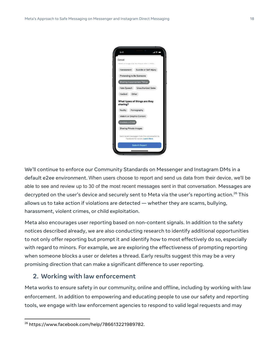

We'll continue to enforce our Community Standards on Messenger and Instagram DMs in a default e2ee environment. When users choose to report and send us data from their device, we'll be able to see and review up to 30 of the most recent messages sent in that conversation. Messages are decrypted on the user's device and securely sent to Meta via the user's reporting action.<sup>26</sup> This allows us to take action if violations are detected — whether they are scams, bullying, harassment, violent crimes, or child exploitation.

Meta also encourages user reporting based on non-content signals. In addition to the safety notices described already, we are also conducting research to identify additional opportunities to not only offer reporting but prompt it and identify how to most effectively do so, especially with regard to minors. For example, we are exploring the effectiveness of prompting reporting when someone blocks a user or deletes a thread. Early results suggest this may be a very promising direction that can make a significant difference to user reporting.

#### **2. Working with law enforcement**

Meta works to ensure safety in our community, online and offline, including by working with law enforcement. In addition to empowering and educating people to use our safety and reporting tools, we engage with law enforcement agencies to respond to valid legal requests and may

 $26$  https://www.facebook.com/help/786613221989782.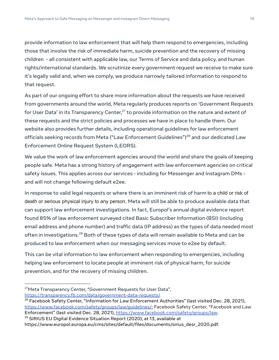provide information to law enforcement that will help them respond to emergencies, including those that involve the risk of immediate harm, suicide prevention and the recovery of missing children - all consistent with applicable law, our Terms of Service and data policy, and human rights/international standards. We scrutinize every government request we receive to make sure it's legally valid and, when we comply, we produce narrowly tailored information to respond to that request.

As part of our ongoing effort to share more information about the requests we have received from governments around the world, Meta regularly produces reports on 'Government Requests for User Data' in its Transparency Center, $^{27}$  to provide information on the nature and extent of these requests and the strict policies and processes we have in place to handle them. Our website also provides further details, including operational guidelines for law enforcement officials seeking records from Meta ("Law Enforcement Guidelines")<sup>28</sup> and our dedicated Law Enforcement Online Request System (LEORS).

We value the work of law enforcement agencies around the world and share the goals of keeping people safe. Meta has a strong history of engagement with law enforcement agencies on critical safety issues. This applies across our services - including for Messenger and Instagram DMs and will not change following default e2ee.

In response to valid legal requests or where there is an imminent risk of harm to a child or risk of death or serious physical injury to any person, Meta will still be able to produce available data that can support law enforcement investigations. In fact, Europol's annual digital evidence report found 85% of law enforcement surveyed cited Basic Subscriber Information (BSI) (including email address and phone number) and traffic data (IP address) as the types of data needed most often in investigations.<sup>29</sup> Both of these types of data will remain available to Meta and can be produced to law enforcement when our messaging services move to e2ee by default.

This can be vital information to law enforcement when responding to emergencies, including helping law enforcement to locate people at imminent risk of physical harm, for suicide prevention, and for the recovery of missing children.

<sup>27</sup>Meta Transparency Center, "Government Requests for User Data", https://transparency.fb.com/data/government-data-requests/

 $29$  SIRIUS EU Digital Evidence Situation Report (2020), at 13, available at

<sup>&</sup>lt;sup>28</sup> Facebook Safety Center, "Information for Law Enforcement Authorities" (last visited Dec. 28, 2021), https://www.facebook.com/safety/groups/law/guidelines/; Facebook Safety Center, "Facebook and Law Enforcement" (last visited Dec. 28, 2021), https://www.facebook.com/safety/groups/law.

https://www.europol.europa.eu/cms/sites/default/files/documents/sirius\_desr\_2020.pdf.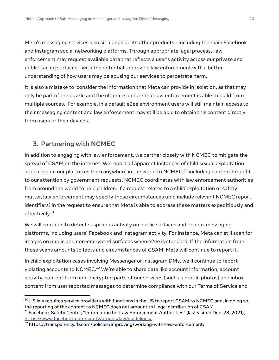Meta's messaging services also sit alongside its other products - including the main Facebook and Instagram social networking platforms. Through appropriate legal process, law enforcement may request available data that reflects a user's activity across our private and public-facing surfaces - with the potential to provide law enforcement with a better understanding of how users may be abusing our services to perpetrate harm.

It is also a mistake to consider the information that Meta can provide in isolation, as that may only be part of the puzzle and the ultimate picture that law enforcement is able to build from multiple sources. For example, in a default e2ee environment users will still maintain access to their messaging content and law enforcement may still be able to obtain this content directly from users or their devices.

### **3. Partnering with NCMEC**

In addition to engaging with law enforcement, we partner closely with NCMEC to mitigate the spread of CSAM on the internet. We report all apparent instances of child sexual exploitation appearing on our platforms from anywhere in the world to  $NCMEC$ ,<sup>30</sup> including content brought to our attention by government requests. NCMEC coordinates with law enforcement authorities from around the world to help children. If a request relates to a child exploitation or safety matter, law enforcement may specify those circumstances (and include relevant NCMEC report identifiers) in the request to ensure that Meta is able to address these matters expeditiously and effectively.<sup>31</sup>

We will continue to detect suspicious activity on public surfaces and on non-messaging platforms, including users' Facebook and Instagram activity. For instance, Meta can still scan for images on public and non-encrypted surfaces when e2ee is standard. If the information from those scans amounts to facts and circumstances of CSAM, Meta will continue to report it.

In child exploitation cases involving Messenger or Instagram DMs, we'll continue to report violating accounts to NCMEC.<sup>32</sup> We're able to share data like account information, account activity, content from non-encrypted parts of our services (such as profile photos) and inbox content from user reported messages to determine compliance with our Terms of Service and

 $30$  US law requires service providers with functions in the US to report CSAM to NCMEC and, in doing so, the reporting of the content to NCMEC does not amount to illegal distribution of CSAM.

<sup>&</sup>lt;sup>31</sup> Facebook Safety Center, "Information for Law Enforcement Authorities" (last visited Dec. 28, 2021), https://www.facebook.com/safety/groups/law/guidelines/.

 $32$  https://transparency.fb.com/policies/improving/working-with-law-enforcement/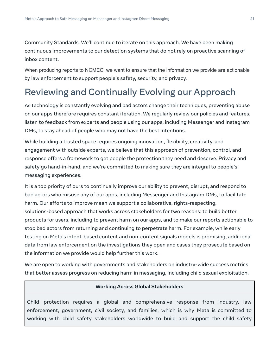Community Standards. We'll continue to iterate on this approach. We have been making continuous improvements to our detection systems that do not rely on proactive scanning of inbox content.

When producing reports to NCMEC, we want to ensure that the information we provide are actionable by law enforcement to support people's safety, security, and privacy.

# Reviewing and Continually Evolving our Approach

As technology is constantly evolving and bad actors change their techniques, preventing abuse on our apps therefore requires constant iteration. We regularly review our policies and features, listen to feedback from experts and people using our apps, including Messenger and Instagram DMs, to stay ahead of people who may not have the best intentions.

While building a trusted space requires ongoing innovation, flexibility, creativity, and engagement with outside experts, we believe that this approach of prevention, control, and response offers a framework to get people the protection they need and deserve. Privacy and safety go hand-in-hand, and we're committed to making sure they are integral to people's messaging experiences.

It is a top priority of ours to continually improve our ability to prevent, disrupt, and respond to bad actors who misuse any of our apps, including Messenger and Instagram DMs, to facilitate harm. Our efforts to improve mean we support a collaborative, rights-respecting, solutions-based approach that works across stakeholders for two reasons: to build better products for users, including to prevent harm on our apps, and to make our reports actionable to stop bad actors from returning and continuing to perpetrate harm. For example, while early testing on Meta's intent-based content and non-content signals models is promising, additional data from law enforcement on the investigations they open and cases they prosecute based on the information we provide would help further this work.

We are open to working with governments and stakeholders on industry-wide success metrics that better assess progress on reducing harm in messaging, including child sexual exploitation.

#### **Working Across Global Stakeholders**

Child protection requires a global and comprehensive response from industry, law enforcement, government, civil society, and families, which is why Meta is committed to working with child safety stakeholders worldwide to build and support the child safety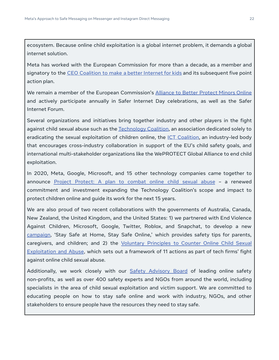ecosystem. Because online child exploitation is a global internet problem, it demands a global internet solution.

Meta has worked with the European Commission for more than a decade, as a member and signatory to the CEO Coalition to make a better Internet for kids and its subsequent five point action plan.

We remain a member of the European Commission's Alliance to Better Protect Minors Online and actively participate annually in Safer Internet Day celebrations, as well as the Safer Internet Forum.

Several organizations and initiatives bring together industry and other players in the fight against child sexual abuse such as the Technology Coalition, an association dedicated solely to eradicating the sexual exploitation of children online, the *ICT Coalition*, an industry-led body that encourages cross-industry collaboration in support of the EU's child safety goals, and international multi-stakeholder organizations like the WePROTECT Global Alliance to end child exploitation.

In 2020, Meta, Google, Microsoft, and 15 other technology companies came together to announce Project Protect: A plan to combat online child sexual abuse – a renewed commitment and investment expanding the Technology Coalition's scope and impact to protect children online and guide its work for the next 15 years.

We are also proud of two recent collaborations with the governments of Australia, Canada, New Zealand, the United Kingdom, and the United States: 1) we partnered with End Violence Against Children, Microsoft, Google, Twitter, Roblox, and Snapchat, to develop a new campaign, 'Stay Safe at Home, Stay Safe Online,' which provides safety tips for parents, caregivers, and children; and 2) the Voluntary Principles to Counter Online Child Sexual Exploitation and Abuse, which sets out a framework of 11 actions as part of tech firms' fight against online child sexual abuse.

Additionally, we work closely with our **Safety Advisory Board** of leading online safety non-profits, as well as over 400 safety experts and NGOs from around the world, including specialists in the area of child sexual exploitation and victim support. We are committed to educating people on how to stay safe online and work with industry, NGOs, and other stakeholders to ensure people have the resources they need to stay safe.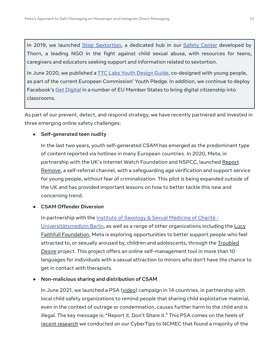In 2019, we launched Stop Sextortion, a dedicated hub in our Safety Center developed by Thorn, a leading NGO in the fight against child sexual abuse, with resources for teens, caregivers and educators seeking support and information related to sextortion.

In June 2020, we published a **TTC Labs Youth Design Guide**, co-designed with young people, as part of the current European Commission' Youth Pledge. In addition, we continue to deploy Facebook's Get Digital in a number of EU Member States to bring digital citizenship into classrooms.

As part of our prevent, detect, and respond strategy, we have recently partnered and invested in three emerging online safety challenges:

#### **● Self-generated teen nudity**

In the last two years, youth self-generated CSAM has emerged as the predominant type of content reported via hotlines in many European countries. In 2020, Meta, in partnership with the UK's Internet Watch Foundation and NSPCC, launched Report Remove, a self-referral channel, with a safeguarding age verification and support service for young people, without fear of criminalization. This pilot is being expanded outside of the UK and has provided important lessons on how to better tackle this new and concerning trend.

#### **● CSAM Offender Diversion**

In partnership with the Institute of Sexology & Sexual Medicine of Charité - Universitätsmedizin Berlin, as well as a range of other organizations including the Lucy Faithfull Foundation, Meta is exploring opportunities to better support people who feel attracted to, or sexually aroused by, children and adolescents, through the Troubled Desire project. This project offers an online self-management tool in more than 10 languages for individuals with a sexual attraction to minors who don't have the chance to get in contact with therapists.

#### **● Non-malicious sharing and distribution of CSAM**

In June 2021, we launched a PSA (video) campaign in 14 countries, in partnership with local child safety organizations to remind people that sharing child exploitative material, even in the context of outrage or condemnation, causes further harm to the child and is illegal. The key message is: "Report it. Don't Share it." This PSA comes on the heels of recent research we conducted on our CyberTips to NCMEC that found a majority of the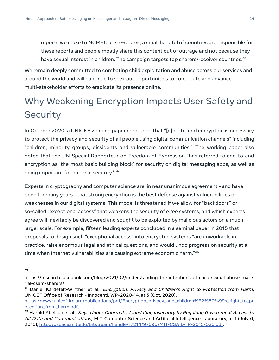reports we make to NCMEC are re-shares; a small handful of countries are responsible for these reports and people mostly share this content out of outrage and not because they have sexual interest in children. The campaign targets top sharers/receiver countries. $33$ 

We remain deeply committed to combating child exploitation and abuse across our services and around the world and will continue to seek out opportunities to contribute and advance multi-stakeholder efforts to eradicate its presence online.

# Why Weakening Encryption Impacts User Safety and **Security**

In October 2020, a UNICEF working paper concluded that "[e]nd-to-end encryption is necessary to protect the privacy and security of all people using digital communication channels" including "children, minority groups, dissidents and vulnerable communities." The working paper also noted that the UN Special Rapporteur on Freedom of Expression "has referred to end-to-end encryption as 'the most basic building block' for security on digital messaging apps, as well as being important for national security."<sup>34</sup>

Experts in cryptography and computer science are in near unanimous agreement - and have been for many years - that strong encryption is the best defense against vulnerabilities or weaknesses in our digital systems. This model is threatened if we allow for "backdoors" or so-called "exceptional access" that weakens the security of e2ee systems, and which experts agree will inevitably be discovered and sought to be exploited by malicious actors on a much larger scale. For example, fifteen leading experts concluded in a seminal paper in 2015 that proposals to design such "exceptional access" into encrypted systems "are unworkable in practice, raise enormous legal and ethical questions, and would undo progress on security at a time when Internet vulnerabilities are causing extreme economic harm."<sup>35</sup>

<sup>33</sup>

https://research.facebook.com/blog/2021/02/understanding-the-intentions-of-child-sexual-abuse-mate rial-csam-sharers/

<sup>&</sup>lt;sup>34</sup> Daniel Kardefelt-Winther et al., *Encryption, Privacy and Children's Right to Protection from Harm*, UNICEF Office of Research - Innocenti, WP-2020-14, at 3 (Oct. 2020),

https://www.unicef-irc.org/publications/pdf/Encryption\_privacy\_and\_children%E2%80%99s\_right\_to\_pr otection from harm.pdf.

<sup>&</sup>lt;sup>35</sup> Harold Abelson et al., Keys Under Doormats: Mandating Insecurity by Requiring Government Access to All Data and Communications, MIT Computer Science and Artificial Intelligence Laboratory, at 1 (July 6, 2015), http://dspace.mit.edu/bitstream/handle/1721.1/97690/MIT-CSAIL-TR-2015-026.pdf.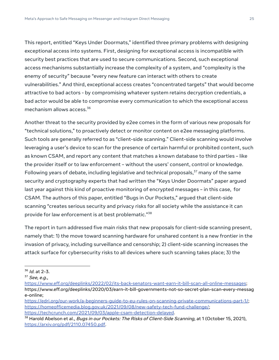This report, entitled "Keys Under Doormats," identified three primary problems with designing exceptional access into systems. First, designing for exceptional access is incompatible with security best practices that are used to secure communications. Second, such exceptional access mechanisms substantially increase the complexity of a system, and "complexity is the enemy of security" because "every new feature can interact with others to create vulnerabilities." And third, exceptional access creates "concentrated targets" that would become attractive to bad actors - by compromising whatever system retains decryption credentials, a bad actor would be able to compromise every communication to which the exceptional access mechanism allows access.<sup>36</sup>

Another threat to the security provided by e2ee comes in the form of various new proposals for "technical solutions," to proactively detect or monitor content on e2ee messaging platforms. Such tools are generally referred to as "client-side scanning." Client-side scanning would involve leveraging a user's device to scan for the presence of certain harmful or prohibited content, such as known CSAM, and report any content that matches a known database to third parties – like the provider itself or to law enforcement – without the users' consent, control or knowledge. Following years of debate, including legislative and technical proposals, $37$  many of the same security and cryptography experts that had written the "Keys Under Doormats" paper argued last year against this kind of proactive monitoring of encrypted messages – in this case, for CSAM. The authors of this paper, entitled "Bugs in Our Pockets," argued that client-side scanning "creates serious security and privacy risks for all society while the assistance it can provide for law enforcement is at best problematic."<sup>38</sup>

The report in turn addressed five main risks that new proposals for client-side scanning present, namely that: 1) the move toward scanning hardware for unshared content is a new frontier in the invasion of privacy, including surveillance and censorship; 2) client-side scanning increases the attack surface for cybersecurity risks to all devices where such scanning takes place; 3) the

 $36$  *Id.* at 2-3.

 $37$  See, e.g.,

https://www.eff.org/deeplinks/2022/02/its-back-senators-want-earn-it-bill-scan-all-online-messages; https://www.eff.org/deeplinks/2020/03/earn-it-bill-governments-not-so-secret-plan-scan-every-messag e-online;

https://edri.org/our-work/a-beginners-guide-to-eu-rules-on-scanning-private-communications-part-1/; https://homeofficemedia.blog.gov.uk/2021/09/08/new-safety-tech-fund-challenge/; https://techcrunch.com/2021/09/03/apple-csam-detection-delayed.

 $38$  Harold Abelson et al., *Bugs in our Pockets: The Risks of Client-Side Scanning*, at 1 (October 15, 2021), https://arxiv.org/pdf/2110.07450.pdf.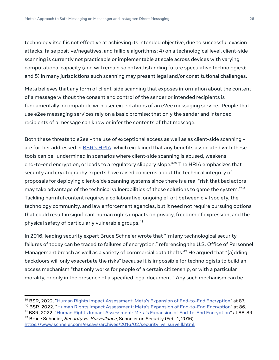technology itself is not effective at achieving its intended objective, due to successful evasion attacks, false positive/negatives, and fallible algorithms; 4) on a technological level, client-side scanning is currently not practicable or implementable at scale across devices with varying computational capacity (and will remain so notwithstanding future speculative technologies); and 5) in many jurisdictions such scanning may present legal and/or constitutional challenges.

Meta believes that any form of client-side scanning that exposes information about the content of a message without the consent and control of the sender or intended recipients is fundamentally incompatible with user expectations of an e2ee messaging service. People that use e2ee messaging services rely on a basic promise: that only the sender and intended recipients of a message can know or infer the contents of that message.

Both these threats to e2ee – the use of exceptional access as well as as client-side scanning – are further addressed in **BSR's HRIA**, which explained that any benefits associated with these tools can be "undermined in scenarios where client-side scanning is abused, weakens end-to-end encryption, or leads to a regulatory slippery slope."<sup>39</sup> The HRIA emphasizes that security and cryptography experts have raised concerns about the technical integrity of proposals for deploying client-side scanning systems since there is a real "risk that bad actors may take advantage of the technical vulnerabilities of these solutions to game the system."<sup>40</sup> Tackling harmful content requires a collaborative, ongoing effort between civil society, the technology community, and law enforcement agencies, but it need not require pursuing options that could result in significant human rights impacts on privacy, freedom of expression, and the physical safety of particularly vulnerable groups.<sup>41</sup>

In 2016, leading security expert Bruce Schneier wrote that "[m]any technological security failures of today can be traced to failures of encryption," referencing the U.S. Office of Personnel Management breach as well as a variety of commercial data thefts.<sup>42</sup> He argued that "[a]dding backdoors will only exacerbate the risks" because it is impossible for technologists to build an access mechanism "that only works for people of a certain citizenship, or with a particular morality, or only in the presence of a specified legal document." Any such mechanism can be

<sup>&</sup>lt;sup>39</sup> BSR, 2022. "Human Rights Impact Assessment: Meta's Expansion of End-to-End Encryption" at 87.

<sup>&</sup>lt;sup>40</sup> BSR, 2022. "Human Rights Impact Assessment: Meta's Expansion of End-to-End Encryption" at 86.

<sup>&</sup>lt;sup>41</sup> BSR, 2022. "Human Rights Impact Assessment: Meta's Expansion of End-to-End Encryption" at 88-89.

<sup>&</sup>lt;sup>42</sup> Bruce Schneier, Security vs. Surveillance, Schneier on Security (Feb. 1, 2016), https://www.schneier.com/essays/archives/2016/02/security\_vs\_surveill.html.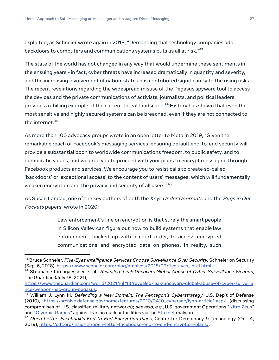exploited; as Schneier wrote again in 2018, "Demanding that technology companies add backdoors to computers and communications systems puts us all at risk."<sup>43</sup>

The state of the world has not changed in any way that would undermine these sentiments in the ensuing years - in fact, cyber threats have increased dramatically in quantity and severity, and the increasing involvement of nation-states has contributed significantly to the rising risks. The recent revelations regarding the widespread misuse of the Pegasus spyware tool to access the devices and the private communications of activists, journalists, and political leaders provides a chilling example of the current threat landscape.<sup>44</sup> History has shown that even the most sensitive and highly secured systems can be breached, even if they are not connected to the internet. $45$ 

As more than 100 advocacy groups wrote in an open letter to Meta in 2019, "Given the remarkable reach of Facebook's messaging services, ensuring default end-to-end security will provide a substantial boon to worldwide communications freedom, to public safety, and to democratic values, and we urge you to proceed with your plans to encrypt messaging through Facebook products and services. We encourage you to resist calls to create so-called 'backdoors' or 'exceptional access' to the content of users' messages, which will fundamentally weaken encryption and the privacy and security of all users."<sup>46</sup>

As Susan Landau, one of the key authors of both the Keys Under Doormats and the Bugs in Our Pockets papers, wrote in 2020:

> Law enforcement's line on encryption is that surely the smart people in Silicon Valley can figure out how to build systems that enable law enforcement, backed up with a court order, to access encrypted communications and encrypted data on phones. In reality, such

<sup>&</sup>lt;sup>43</sup> Bruce Schneier, Five-Eyes Intelligence Services Choose Surveillance Over Security, Schneier on Security (Sep. 6, 2018), https://www.schneier.com/blog/archives/2018/09/five-eyes\_intel.html.

<sup>&</sup>lt;sup>44</sup> Stephanie Kirchgaessner et al., Revealed: Leak Uncovers Global Abuse of Cyber-Surveillance Weapon, The Guardian (July 18, 2021),

https://www.theguardian.com/world/2021/jul/18/revealed-leak-uncovers-global-abuse-of-cyber-surveilla nce-weapon-nso-group-pegasus.

<sup>&</sup>lt;sup>45</sup> William J. Lynn III, *Defending a New Domain: The Pentagon's Cyberstrategy*, U.S. Dep't of Defense (2010), https://archive.defense.gov/home/features/2010/0410\_cybersec/lynn-article1.aspx (discussing compromises of U.S. classified military networks); see also, e.q., U.S. government Operations "Nitro Zeus" and "Olympic Games" against Iranian nuclear facilities via the Stuxnet malware.

 $46$  Open Letter: Facebook's End-to-End Encryption Plans, Center for Democracy & Technology (Oct. 4, 2019), https://cdt.org/insights/open-letter-facebooks-end-to-end-encryption-plans/.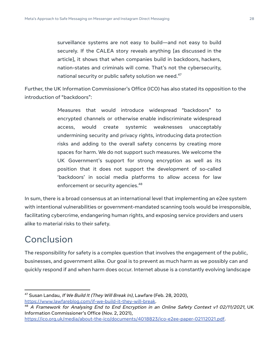surveillance systems are not easy to build—and not easy to build securely. If the CALEA story reveals anything [as discussed in the article], it shows that when companies build in backdoors, hackers, nation-states and criminals will come. That's not the cybersecurity, national security or public safety solution we need.<sup>47</sup>

Further, the UK Information Commissioner's Office (ICO) has also stated its opposition to the introduction of "backdoors":

> Measures that would introduce widespread "backdoors" to encrypted channels or otherwise enable indiscriminate widespread access, would create systemic weaknesses unacceptably undermining security and privacy rights, introducing data protection risks and adding to the overall safety concerns by creating more spaces for harm. We do not support such measures. We welcome the UK Government's support for strong encryption as well as its position that it does not support the development of so-called 'backdoors' in social media platforms to allow access for law enforcement or security agencies.<sup>48</sup>

In sum, there is a broad consensus at an international level that implementing an e2ee system with intentional vulnerabilities or government-mandated scanning tools would be irresponsible, facilitating cybercrime, endangering human rights, and exposing service providers and users alike to material risks to their safety.

# Conclusion

The responsibility for safety is a complex question that involves the engagement of the public, businesses, and government alike. Our goal is to prevent as much harm as we possibly can and quickly respond if and when harm does occur. Internet abuse is a constantly evolving landscape

 $47$  Susan Landau, If We Build It (They Will Break In), Lawfare (Feb. 28, 2020), https://www.lawfareblog.com/if-we-build-it-they-will-break.

<sup>&</sup>lt;sup>48</sup> A Framework for Analysing End to End Encryption in an Online Safety Context v1 02/11/2021, UK Information Commissioner's Office (Nov. 2, 2021),

https://ico.org.uk/media/about-the-ico/documents/4018823/ico-e2ee-paper-02112021.pdf.